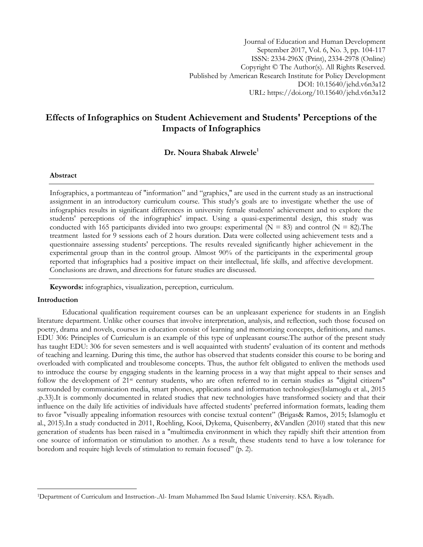Journal of Education and Human Development September 2017, Vol. 6, No. 3, pp. 104-117 ISSN: 2334-296X (Print), 2334-2978 (Online) Copyright © The Author(s). All Rights Reserved. Published by American Research Institute for Policy Development DOI: 10.15640/jehd.v6n3a12 URL: https://doi.org/10.15640/jehd.v6n3a12

# **Effects of Infographics on Student Achievement and Students' Perceptions of the Impacts of Infographics**

**Dr. Noura Shabak Alrwele<sup>1</sup>**

#### **Abstract**

Infographics, a portmanteau of "information" and "graphics," are used in the current study as an instructional assignment in an introductory curriculum course. This study's goals are to investigate whether the use of infographics results in significant differences in university female students' achievement and to explore the students' perceptions of the infographics' impact. Using a quasi-experimental design, this study was conducted with 165 participants divided into two groups: experimental  $(N = 83)$  and control  $(N = 82)$ . The treatment lasted for 9 sessions each of 2 hours duration. Data were collected using achievement tests and a questionnaire assessing students' perceptions. The results revealed significantly higher achievement in the experimental group than in the control group. Almost 90% of the participants in the experimental group reported that infographics had a positive impact on their intellectual, life skills, and affective development. Conclusions are drawn, and directions for future studies are discussed.

**Keywords:** infographics, visualization, perception, curriculum.

#### **Introduction**

l

Educational qualification requirement courses can be an unpleasant experience for students in an English literature department. Unlike other courses that involve interpretation, analysis, and reflection, such those focused on poetry, drama and novels, courses in education consist of learning and memorizing concepts, definitions, and names. EDU 306: Principles of Curriculum is an example of this type of unpleasant course.The author of the present study has taught EDU: 306 for seven semesters and is well acquainted with students' evaluation of its content and methods of teaching and learning. During this time, the author has observed that students consider this course to be boring and overloaded with complicated and troublesome concepts. Thus, the author felt obligated to enliven the methods used to introduce the course by engaging students in the learning process in a way that might appeal to their senses and follow the development of 21st century students, who are often referred to in certain studies as "digital citizens" surrounded by communication media, smart phones, applications and information technologies(Islamoglu et al., 2015 .p.33).It is commonly documented in related studies that new technologies have transformed society and that their influence on the daily life activities of individuals have affected students' preferred information formats, leading them to favor "visually appealing information resources with concise textual content" (Brigas& Ramos, 2015; Islamoglu et al., 2015).In a study conducted in 2011, Roehling, Kooi, Dykema, Quisenberry, &Vandlen (2010) stated that this new generation of students has been raised in a "multimedia environment in which they rapidly shift their attention from one source of information or stimulation to another. As a result, these students tend to have a low tolerance for boredom and require high levels of stimulation to remain focused" (p. 2).

<sup>1</sup>Department of Curriculum and Instruction-.Al- Imam Muhammed Ibn Saud Islamic University. KSA. Riyadh.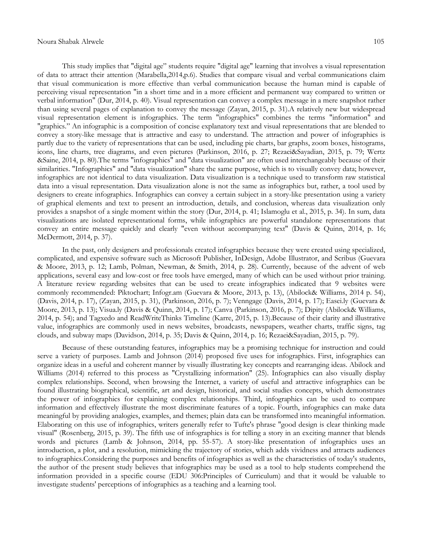This study implies that "digital age" students require "digital age" learning that involves a visual representation of data to attract their attention (Marabella,2014,p.6). Studies that compare visual and verbal communications claim that visual communication is more effective than verbal communication because the human mind is capable of perceiving visual representation "in a short time and in a more efficient and permanent way compared to written or verbal information" (Dur, 2014, p. 40). Visual representation can convey a complex message in a mere snapshot rather than using several pages of explanation to convey the message (Zayan, 2015, p. 31).A relatively new but widespread visual representation element is infographics. The term "infographics" combines the terms "information" and "graphics." An infographic is a composition of concise explanatory text and visual representations that are blended to convey a story-like message that is attractive and easy to understand. The attraction and power of infographics is partly due to the variety of representations that can be used, including pie charts, bar graphs, zoom boxes, histograms, icons, line charts, tree diagrams, and even pictures (Parkinson, 2016, p. 27; Rezaei&Sayadian, 2015, p. 79; Wertz &Saine, 2014, p. 80).The terms "infographics" and "data visualization" are often used interchangeably because of their similarities. "Infographics" and "data visualization" share the same purpose, which is to visually convey data; however, infographics are not identical to data visualization. Data visualization is a technique used to transform raw statistical data into a visual representation. Data visualization alone is not the same as infographics but, rather, a tool used by designers to create infographics. Infographics can convey a certain subject in a story-like presentation using a variety of graphical elements and text to present an introduction, details, and conclusion, whereas data visualization only provides a snapshot of a single moment within the story (Dur, 2014, p. 41; Islamoglu et al., 2015, p. 34). In sum, data visualizations are isolated representational forms, while infographics are powerful standalone representations that convey an entire message quickly and clearly "even without accompanying text" (Davis & Quinn, 2014, p. 16; McDermott, 2014, p. 37).

In the past, only designers and professionals created infographics because they were created using specialized, complicated, and expensive software such as Microsoft Publisher, InDesign, Adobe Illustrator, and Scribus (Guevara & Moore, 2013, p. 12; Lamb, Polman, Newman, & Smith, 2014, p. 28). Currently, because of the advent of web applications, several easy and low-cost or free tools have emerged, many of which can be used without prior training. A literature review regarding websites that can be used to create infographics indicated that 9 websites were commonly recommended: Piktochart; Infogr.am (Guevara & Moore, 2013, p. 13), (Abilock& Williams, 2014 p. 54), (Davis, 2014, p. 17), (Zayan, 2015, p. 31), (Parkinson, 2016, p. 7); Venngage (Davis, 2014, p. 17); Easei.ly (Guevara & Moore, 2013, p. 13); Visua.ly (Davis & Quinn, 2014, p. 17); Canva (Parkinson, 2016, p. 7); Dipity (Abilock& Williams, 2014, p. 54); and Tagxedo and ReadWriteThinks Timeline (Karre, 2015, p. 13).Because of their clarity and illustrative value, infographics are commonly used in news websites, broadcasts, newspapers, weather charts, traffic signs, tag clouds, and subway maps (Davidson, 2014, p. 35; Davis & Quinn, 2014, p. 16; Rezaei&Sayadian, 2015, p. 79).

Because of these outstanding features, infographics may be a promising technique for instruction and could serve a variety of purposes. Lamb and Johnson (2014) proposed five uses for infographics. First, infographics can organize ideas in a useful and coherent manner by visually illustrating key concepts and rearranging ideas. Abilock and Williams (2014) referred to this process as "Crystallizing information" (25). Infographics can also visually display complex relationships. Second, when browsing the Internet, a variety of useful and attractive infographics can be found illustrating biographical, scientific, art and design, historical, and social studies concepts, which demonstrates the power of infographics for explaining complex relationships. Third, infographics can be used to compare information and effectively illustrate the most discriminate features of a topic. Fourth, infographics can make data meaningful by providing analogies, examples, and themes; plain data can be transformed into meaningful information. Elaborating on this use of infographics, writers generally refer to Tufte's phrase "good design is clear thinking made visual" (Rosenberg, 2015, p. 39). The fifth use of infographics is for telling a story in an exciting manner that blends words and pictures (Lamb & Johnson, 2014, pp. 55-57). A story-like presentation of infographics uses an introduction, a plot, and a resolution, mimicking the trajectory of stories, which adds vividness and attracts audiences to infographics.Considering the purposes and benefits of infographics as well as the characteristics of today's students, the author of the present study believes that infographics may be used as a tool to help students comprehend the information provided in a specific course (EDU 306:Principles of Curriculum) and that it would be valuable to investigate students' perceptions of infographics as a teaching and a learning tool.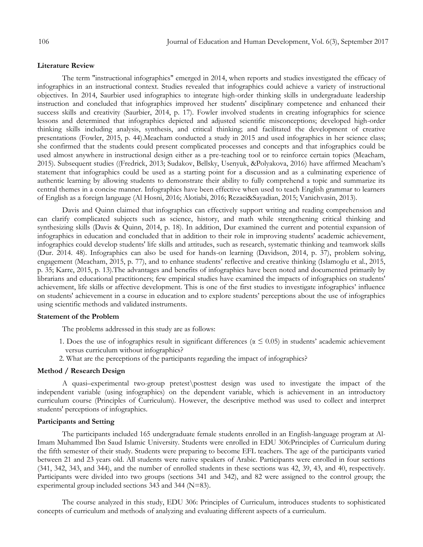#### **Literature Review**

The term "instructional infographics" emerged in 2014, when reports and studies investigated the efficacy of infographics in an instructional context. Studies revealed that infographics could achieve a variety of instructional objectives. In 2014, Saurbier used infographics to integrate high-order thinking skills in undergraduate leadership instruction and concluded that infographics improved her students' disciplinary competence and enhanced their success skills and creativity (Saurbier, 2014, p. 17). Fowler involved students in creating infographics for science lessons and determined that infographics depicted and adjusted scientific misconceptions; developed high-order thinking skills including analysis, synthesis, and critical thinking; and facilitated the development of creative presentations (Fowler, 2015, p. 44).Meacham conducted a study in 2015 and used infographics in her science class; she confirmed that the students could present complicated processes and concepts and that infographics could be used almost anywhere in instructional design either as a pre-teaching tool or to reinforce certain topics (Meacham, 2015). Subsequent studies ((Fredrick, 2013; Sudakov, Bellsky, Usenyuk, &Polyakova, 2016) have affirmed Meacham's statement that infographics could be used as a starting point for a discussion and as a culminating experience of authentic learning by allowing students to demonstrate their ability to fully comprehend a topic and summarize its central themes in a concise manner. Infographics have been effective when used to teach English grammar to learners of English as a foreign language (Al Hosni, 2016; Alotiabi, 2016; Rezaei&Sayadian, 2015; Vanichvasin, 2013).

Davis and Quinn claimed that infographics can effectively support writing and reading comprehension and can clarify complicated subjects such as science, history, and math while strengthening critical thinking and synthesizing skills (Davis & Quinn, 2014, p. 18). In addition, Dur examined the current and potential expansion of infographics in education and concluded that in addition to their role in improving students' academic achievement, infographics could develop students' life skills and attitudes, such as research, systematic thinking and teamwork skills (Dur. 2014. 48). Infographics can also be used for hands-on learning (Davidson, 2014, p. 37), problem solving, engagement (Meacham, 2015, p. 77), and to enhance students' reflective and creative thinking (Islamoglu et al., 2015, p. 35; Karre, 2015, p. 13).The advantages and benefits of infographics have been noted and documented primarily by librarians and educational practitioners; few empirical studies have examined the impacts of infographics on students' achievement, life skills or affective development. This is one of the first studies to investigate infographics' influence on students' achievement in a course in education and to explore students' perceptions about the use of infographics using scientific methods and validated instruments.

#### **Statement of the Problem**

The problems addressed in this study are as follows:

- 1. Does the use of infographics result in significant differences ( $\alpha \leq 0.05$ ) in students' academic achievement versus curriculum without infographics?
- 2. What are the perceptions of the participants regarding the impact of infographics?

#### **Method / Research Design**

A quasi–experimental two-group pretest\posttest design was used to investigate the impact of the independent variable (using infographics) on the dependent variable, which is achievement in an introductory curriculum course (Principles of Curriculum). However, the descriptive method was used to collect and interpret students' perceptions of infographics.

### **Participants and Setting**

The participants included 165 undergraduate female students enrolled in an English-language program at Al-Imam Muhammed Ibn Saud Islamic University. Students were enrolled in EDU 306:Principles of Curriculum during the fifth semester of their study. Students were preparing to become EFL teachers. The age of the participants varied between 21 and 23 years old. All students were native speakers of Arabic. Participants were enrolled in four sections (341, 342, 343, and 344), and the number of enrolled students in these sections was 42, 39, 43, and 40, respectively. Participants were divided into two groups (sections 341 and 342), and 82 were assigned to the control group; the experimental group included sections 343 and 344 (N=83).

The course analyzed in this study, EDU 306: Principles of Curriculum, introduces students to sophisticated concepts of curriculum and methods of analyzing and evaluating different aspects of a curriculum.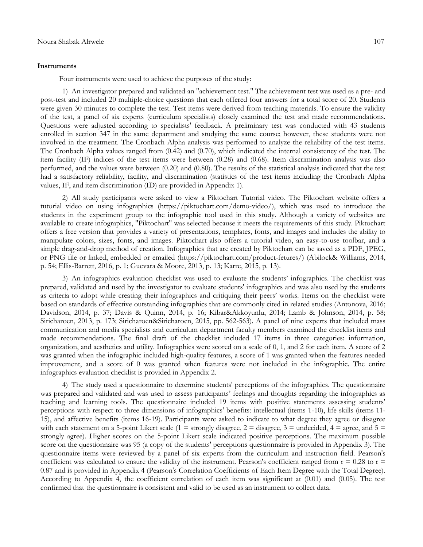#### **Instruments**

Four instruments were used to achieve the purposes of the study:

1) An investigator prepared and validated an "achievement test." The achievement test was used as a pre- and post-test and included 20 multiple-choice questions that each offered four answers for a total score of 20. Students were given 30 minutes to complete the test. Test items were derived from teaching materials. To ensure the validity of the test, a panel of six experts (curriculum specialists) closely examined the test and made recommendations. Questions were adjusted according to specialists' feedback. A preliminary test was conducted with 43 students enrolled in section 347 in the same department and studying the same course; however, these students were not involved in the treatment. The Cronbach Alpha analysis was performed to analyze the reliability of the test items. The Cronbach Alpha values ranged from (0.42) and (0.70), which indicated the internal consistency of the test. The item facility (IF) indices of the test items were between (0.28) and (0.68). Item discrimination analysis was also performed, and the values were between (0.20) and (0.80). The results of the statistical analysis indicated that the test had a satisfactory reliability, facility, and discrimination (statistics of the test items including the Cronbach Alpha values, IF, and item discrimination (ID) are provided in Appendix 1).

2) All study participants were asked to view a Piktochart Tutorial video. The Piktochart website offers a tutorial video on using infographics [\(https://piktochart.com/demo-video/\)](https://piktochart.com/demo-video/), which was used to introduce the students in the experiment group to the infographic tool used in this study. Although a variety of websites are available to create infographics, "Piktochart" was selected because it meets the requirements of this study. Piktochart offers a free version that provides a variety of presentations, templates, fonts, and images and includes the ability to manipulate colors, sizes, fonts, and images. Piktochart also offers a tutorial video, an easy-to-use toolbar, and a simple drag-and-drop method of creation. Infographics that are created by Piktochart can be saved as a PDF, JPEG, or PNG file or linked, embedded or emailed [\(https://piktochart.com/product-fetures/\)](https://piktochart.com/product-fetures/) (Abilock& Williams, 2014, p. 54; Ellis-Barrett, 2016, p. 1; Guevara & Moore, 2013, p. 13; Karre, 2015, p. 13).

3) An infographics evaluation checklist was used to evaluate the students' infographics. The checklist was prepared, validated and used by the investigator to evaluate students' infographics and was also used by the students as criteria to adopt while creating their infographics and critiquing their peers' works. Items on the checklist were based on standards of effective outstanding infographics that are commonly cited in related studies (Antonova, 2016; Davidson, 2014, p. 37; Davis & Quinn, 2014, p. 16; Kibar&Akkoyunlu, 2014; Lamb & Johnson, 2014, p. 58; Siricharoen, 2013, p. 173; Siricharoen&Siricharoen, 2015, pp. 562-563). A panel of nine experts that included mass communication and media specialists and curriculum department faculty members examined the checklist items and made recommendations. The final draft of the checklist included 17 items in three categories: information, organization, and aesthetics and utility. Infographics were scored on a scale of 0, 1, and 2 for each item. A score of 2 was granted when the infographic included high-quality features, a score of 1 was granted when the features needed improvement, and a score of 0 was granted when features were not included in the infographic. The entire infographics evaluation checklist is provided in Appendix 2.

4) The study used a questionnaire to determine students' perceptions of the infographics. The questionnaire was prepared and validated and was used to assess participants' feelings and thoughts regarding the infographics as teaching and learning tools. The questionnaire included 19 items with positive statements assessing students' perceptions with respect to three dimensions of infographics' benefits: intellectual (items 1-10), life skills (items 11- 15), and affective benefits (items 16-19). Participants were asked to indicate to what degree they agree or disagree with each statement on a 5-point Likert scale (1 = strongly disagree, 2 = disagree, 3 = undecided, 4 = agree, and 5 = strongly agree). Higher scores on the 5-point Likert scale indicated positive perceptions. The maximum possible score on the questionnaire was 95 (a copy of the students' perceptions questionnaire is provided in Appendix 3). The questionnaire items were reviewed by a panel of six experts from the curriculum and instruction field. Pearson's coefficient was calculated to ensure the validity of the instrument. Pearson's coefficient ranged from  $r = 0.28$  to  $r =$ 0.87 and is provided in Appendix 4 (Pearson's Correlation Coefficients of Each Item Degree with the Total Degree). According to Appendix 4, the coefficient correlation of each item was significant at (0.01) and (0.05). The test confirmed that the questionnaire is consistent and valid to be used as an instrument to collect data.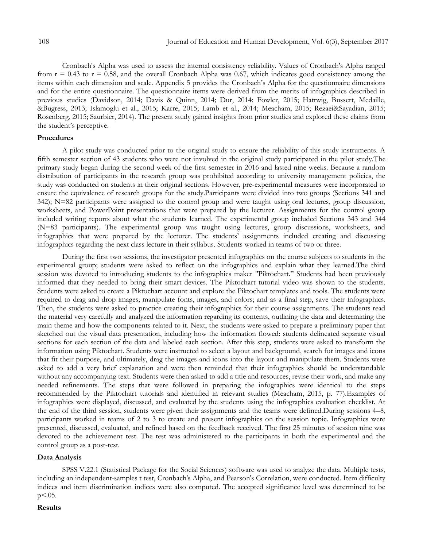Cronbach's Alpha was used to assess the internal consistency reliability. Values of Cronbach's Alpha ranged from  $r = 0.43$  to  $r = 0.58$ , and the overall Cronbach Alpha was 0.67, which indicates good consistency among the items within each dimension and scale. Appendix 5 provides the Cronbach's Alpha for the questionnaire dimensions and for the entire questionnaire. The questionnaire items were derived from the merits of infographics described in previous studies (Davidson, 2014; Davis & Quinn, 2014; Dur, 2014; Fowler, 2015; Hattwig, Bussert, Medaille, &Bugress, 2013; Islamoglu et al., 2015; Karre, 2015; Lamb et al., 2014; Meacham, 2015; Rezaei&Sayadian, 2015; Rosenberg, 2015; Saurbier, 2014). The present study gained insights from prior studies and explored these claims from the student's perceptive.

### **Procedures**

A pilot study was conducted prior to the original study to ensure the reliability of this study instruments. A fifth semester section of 43 students who were not involved in the original study participated in the pilot study.The primary study began during the second week of the first semester in 2016 and lasted nine weeks. Because a random distribution of participants in the research group was prohibited according to university management policies, the study was conducted on students in their original sections. However, pre-experimental measures were incorporated to ensure the equivalence of research groups for the study.Participants were divided into two groups (Sections 341 and 342); N=82 participants were assigned to the control group and were taught using oral lectures, group discussion, worksheets, and PowerPoint presentations that were prepared by the lecturer. Assignments for the control group included writing reports about what the students learned. The experimental group included Sections 343 and 344 (N=83 participants). The experimental group was taught using lectures, group discussions, worksheets, and infographics that were prepared by the lecturer. The students' assignments included creating and discussing infographics regarding the next class lecture in their syllabus. Students worked in teams of two or three.

During the first two sessions, the investigator presented infographics on the course subjects to students in the experimental group; students were asked to reflect on the infographics and explain what they learned.The third session was devoted to introducing students to the infographics maker "Piktochart." Students had been previously informed that they needed to bring their smart devices. The Piktochart tutorial video was shown to the students. Students were asked to create a Piktochart account and explore the Piktochart templates and tools. The students were required to drag and drop images; manipulate fonts, images, and colors; and as a final step, save their infographics. Then, the students were asked to practice creating their infographics for their course assignments. The students read the material very carefully and analyzed the information regarding its contents, outlining the data and determining the main theme and how the components related to it. Next, the students were asked to prepare a preliminary paper that sketched out the visual data presentation, including how the information flowed: students delineated separate visual sections for each section of the data and labeled each section. After this step, students were asked to transform the information using Piktochart. Students were instructed to select a layout and background, search for images and icons that fit their purpose, and ultimately, drag the images and icons into the layout and manipulate them. Students were asked to add a very brief explanation and were then reminded that their infographics should be understandable without any accompanying text. Students were then asked to add a title and resources, revise their work, and make any needed refinements. The steps that were followed in preparing the infographics were identical to the steps recommended by the Piktochart tutorials and identified in relevant studies (Meacham, 2015, p. 77).Examples of infographics were displayed, discussed, and evaluated by the students using the infographics evaluation checklist. At the end of the third session, students were given their assignments and the teams were defined.During sessions 4–8, participants worked in teams of 2 to 3 to create and present infographics on the session topic. Infographics were presented, discussed, evaluated, and refined based on the feedback received. The first 25 minutes of session nine was devoted to the achievement test. The test was administered to the participants in both the experimental and the control group as a post-test.

### **Data Analysis**

SPSS V.22.1 (Statistical Package for the Social Sciences) software was used to analyze the data. Multiple tests, including an independent-samples t test, Cronbach's Alpha, and Pearson's Correlation, were conducted. Item difficulty indices and item discrimination indices were also computed. The accepted significance level was determined to be  $p<.05$ .

### **Results**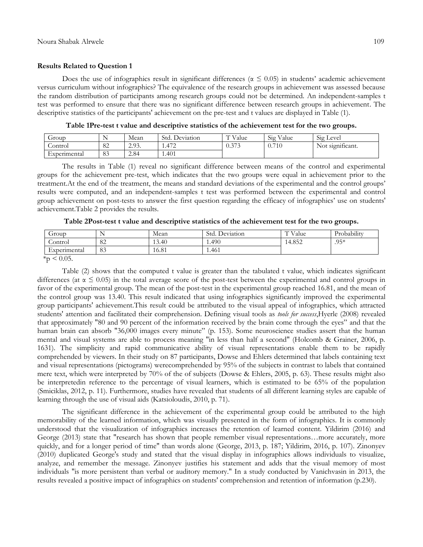#### **Results Related to Question 1**

Does the use of infographics result in significant differences ( $\alpha \leq 0.05$ ) in students' academic achievement versus curriculum without infographics? The equivalence of the research groups in achievement was assessed because the random distribution of participants among research groups could not be determined. An independent-samples t test was performed to ensure that there was no significant difference between research groups in achievement. The descriptive statistics of the participants' achievement on the pre-test and t values are displayed in Table (1).

| Group        |                | Mean             | Std.<br>. Deviation | T T T 1<br>v alue | $\bigcap$ .<br>$\mathbf{v}$<br>V alue<br>519 | $\sim$<br>Level<br>512             |
|--------------|----------------|------------------|---------------------|-------------------|----------------------------------------------|------------------------------------|
| lontrol      | $\Omega$<br>OΖ | 293<br>. د . د . | 1.472               | 272               | 0.710<br>V. /                                | $\cdot$ $\sim$<br>Not significant. |
| Experimental | $\Omega$<br>ОJ | 2.84             | 1.401               |                   |                                              |                                    |

**Table 1Pre-test t value and descriptive statistics of the achievement test for the two groups.**

The results in Table (1) reveal no significant difference between means of the control and experimental groups for the achievement pre-test, which indicates that the two groups were equal in achievement prior to the treatment.At the end of the treatment, the means and standard deviations of the experimental and the control groups' results were computed, and an independent-samples t test was performed between the experimental and control group achievement on post-tests to answer the first question regarding the efficacy of infographics' use on students' achievement.Table 2 provides the results.

| oroup.       | . .            | Mean  | Std.<br>Deviation | T T T 1<br>Value | $\cdots$<br>Probability |
|--------------|----------------|-------|-------------------|------------------|-------------------------|
| Control      | $\Omega$<br>ÕΖ | 13.40 | 1.490             | 4.852            | $.95*$                  |
| Experimental | 83             | 16.81 | 1.461             |                  |                         |

**Table 2Post-test t value and descriptive statistics of the achievement test for the two groups.**

 $*_{p}$  < 0.05.

Table (2) shows that the computed t value is greater than the tabulated t value, which indicates significant differences (at  $\alpha \le 0.05$ ) in the total average score of the post-test between the experimental and control groups in favor of the experimental group. The mean of the post-test in the experimental group reached 16.81, and the mean of the control group was 13.40. This result indicated that using infographics significantly improved the experimental group participants' achievement.This result could be attributed to the visual appeal of infographics, which attracted students' attention and facilitated their comprehension. Defining visual tools as *tools for success*,Hyerle (2008) revealed that approximately "80 and 90 percent of the information received by the brain come through the eyes" and that the human brain can absorb "36,000 images every minute" (p. 153). Some neuroscience studies assert that the human mental and visual systems are able to process meaning "in less than half a second" (Holcomb & Grainer, 2006, p. 1631). The simplicity and rapid communicative ability of visual representations enable them to be rapidly comprehended by viewers. In their study on 87 participants, Dowse and Ehlers determined that labels containing text and visual representations (pictograms) werecomprehended by 95% of the subjects in contrast to labels that contained mere text, which were interpreted by 70% of the of subjects (Dowse & Ehlers, 2005, p. 63). These results might also be interpretedin reference to the percentage of visual learners, which is estimated to be 65% of the population (Smiciklas, 2012, p. 11). Furthermore, studies have revealed that students of all different learning styles are capable of learning through the use of visual aids (Katsioloudis, 2010, p. 71).

The significant difference in the achievement of the experimental group could be attributed to the high memorability of the learned information, which was visually presented in the form of infographics. It is commonly understood that the visualization of infographics increases the retention of learned content. Yildirim (2016) and George (2013) state that "research has shown that people remember visual representations...more accurately, more quickly, and for a longer period of time" than words alone (George, 2013, p. 187; Yildirim, 2016, p. 107). Zinonyev (2010) duplicated George's study and stated that the visual display in infographics allows individuals to visualize, analyze, and remember the message. Zinonyev justifies his statement and adds that the visual memory of most individuals "is more persistent than verbal or auditory memory." In a study conducted by Vanichvasin in 2013, the results revealed a positive impact of infographics on students' comprehension and retention of information (p.230).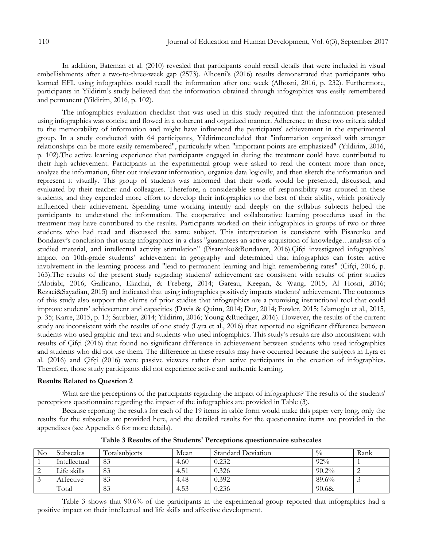In addition, Bateman et al. (2010) revealed that participants could recall details that were included in visual embellishments after a two-to-three-week gap (2573). Alhosni's (2016) results demonstrated that participants who learned EFL using infographics could recall the information after one week (Alhosni, 2016, p. 232). Furthermore, participants in Yildirim's study believed that the information obtained through infographics was easily remembered and permanent (Yildirim, 2016, p. 102).

The infographics evaluation checklist that was used in this study required that the information presented using infographics was concise and flowed in a coherent and organized manner. Adherence to these two criteria added to the memorability of information and might have influenced the participants' achievement in the experimental group. In a study conducted with 64 participants, Yildirimconcluded that "information organized with stronger relationships can be more easily remembered", particularly when "important points are emphasized" (Yildirim, 2016, p. 102).The active learning experience that participants engaged in during the treatment could have contributed to their high achievement. Participants in the experimental group were asked to read the content more than once, analyze the information, filter out irrelevant information, organize data logically, and then sketch the information and represent it visually. This group of students was informed that their work would be presented, discussed, and evaluated by their teacher and colleagues. Therefore, a considerable sense of responsibility was aroused in these students, and they expended more effort to develop their infographics to the best of their ability, which positively influenced their achievement. Spending time working intently and deeply on the syllabus subjects helped the participants to understand the information. The cooperative and collaborative learning procedures used in the treatment may have contributed to the results. Participants worked on their infographics in groups of two or three students who had read and discussed the same subject. This interpretation is consistent with Pisarenko and Bondarev's conclusion that using infographics in a class "guarantees an active acquisition of knowledge…analysis of a studied material, and intellectual activity stimulation" (Pisarenko&Bondarev, 2016).Çifçi investigated infographics' impact on 10th-grade students' achievement in geography and determined that infographics can foster active involvement in the learning process and "lead to permanent learning and high remembering rates" (Çifçi, 2016, p. 163).The results of the present study regarding students' achievement are consistent with results of prior studies (Alotiabi, 2016; Gallicano, Ekachai, & Freberg, 2014; Gareau, Keegan, & Wang, 2015; Al Hosni, 2016; Rezaei&Sayadian, 2015) and indicated that using infographics positively impacts students' achievement. The outcomes of this study also support the claims of prior studies that infographics are a promising instructional tool that could improve students' achievement and capacities (Davis & Quinn, 2014; Dur, 2014; Fowler, 2015; Islamoglu et al., 2015, p. 35; Karre, 2015, p. 13; Saurbier, 2014; Yildirim, 2016; Young &Ruediger, 2016). However, the results of the current study are inconsistent with the results of one study (Lyra et al., 2016) that reported no significant difference between students who used graphic and text and students who used infographics. This study's results are also inconsistent with results of Çifçi (2016) that found no significant difference in achievement between students who used infographics and students who did not use them. The difference in these results may have occurred because the subjects in Lyra et al. (2016) and Çifçi (2016) were passive viewers rather than active participants in the creation of infographics. Therefore, those study participants did not experience active and authentic learning.

#### **Results Related to Question 2**

What are the perceptions of the participants regarding the impact of infographics? The results of the students' perceptions questionnaire regarding the impact of the infographics are provided in Table (3).

Because reporting the results for each of the 19 items in table form would make this paper very long, only the results for the subscales are provided here, and the detailed results for the questionnaire items are provided in the appendixes (see Appendix 6 for more details).

| No | <b>Subscales</b> | Totalsubjects | Mean | <b>Standard Deviation</b> | $\frac{0}{0}$ | Rank |
|----|------------------|---------------|------|---------------------------|---------------|------|
|    | Intellectual     | 83            | 4.60 | 0.232                     | $92\%$        |      |
|    | Life skills      | 83            | 4.51 | 0.326                     | $90.2\%$      |      |
|    | Affective        | 83            | 4.48 | 0.392                     | 89.6%         |      |
|    | Total            | 83            | 4.53 | 0.236                     | 90.68         |      |

**Table 3 Results of the Students' Perceptions questionnaire subscales**

Table 3 shows that 90.6% of the participants in the experimental group reported that infographics had a positive impact on their intellectual and life skills and affective development.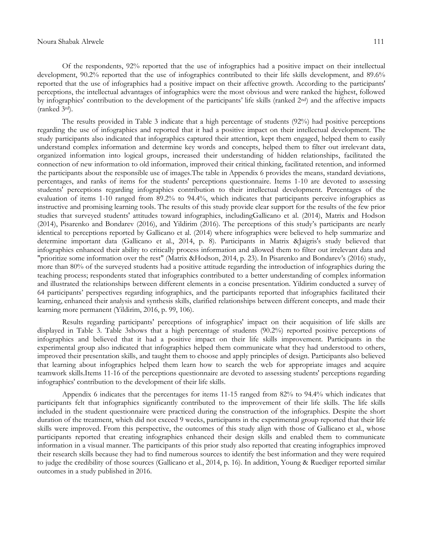Of the respondents, 92% reported that the use of infographics had a positive impact on their intellectual development, 90.2% reported that the use of infographics contributed to their life skills development, and 89.6% reported that the use of infographics had a positive impact on their affective growth. According to the participants' perceptions, the intellectual advantages of infographics were the most obvious and were ranked the highest, followed by infographics' contribution to the development of the participants' life skills (ranked 2nd) and the affective impacts (ranked 3rd).

The results provided in Table 3 indicate that a high percentage of students (92%) had positive perceptions regarding the use of infographics and reported that it had a positive impact on their intellectual development. The study participants also indicated that infographics captured their attention, kept them engaged, helped them to easily understand complex information and determine key words and concepts, helped them to filter out irrelevant data, organized information into logical groups, increased their understanding of hidden relationships, facilitated the connection of new information to old information, improved their critical thinking, facilitated retention, and informed the participants about the responsible use of images.The table in Appendix 6 provides the means, standard deviations, percentages, and ranks of items for the students' perceptions questionnaire. Items 1-10 are devoted to assessing students' perceptions regarding infographics contribution to their intellectual development. Percentages of the evaluation of items 1-10 ranged from 89.2% to 94.4%, which indicates that participants perceive infographics as instructive and promising learning tools. The results of this study provide clear support for the results of the few prior studies that surveyed students' attitudes toward infographics, includingGallicano et al. (2014), Matrix and Hodson (2014), Pisarenko and Bondarev (2016), and Yildirim (2016). The perceptions of this study's participants are nearly identical to perceptions reported by Gallicano et al. (2014) where infographics were believed to help summarize and determine important data (Gallicano et al., 2014, p. 8). Participants in Matrix &Jaigris's study believed that infographics enhanced their ability to critically process information and allowed them to filter out irrelevant data and "prioritize some information over the rest" (Matrix &Hodson, 2014, p. 23). In Pisarenko and Bondarev's (2016) study, more than 80% of the surveyed students had a positive attitude regarding the introduction of infographics during the teaching process; respondents stated that infographics contributed to a better understanding of complex information and illustrated the relationships between different elements in a concise presentation. Yildirim conducted a survey of 64 participants' perspectives regarding infographics, and the participants reported that infographics facilitated their learning, enhanced their analysis and synthesis skills, clarified relationships between different concepts, and made their learning more permanent (Yildirim, 2016, p. 99, 106).

Results regarding participants' perceptions of infographics' impact on their acquisition of life skills are displayed in Table 3. Table 3shows that a high percentage of students (90.2%) reported positive perceptions of infographics and believed that it had a positive impact on their life skills improvement. Participants in the experimental group also indicated that infographics helped them communicate what they had understood to others, improved their presentation skills, and taught them to choose and apply principles of design. Participants also believed that learning about infographics helped them learn how to search the web for appropriate images and acquire teamwork skills.Items 11-16 of the perceptions questionnaire are devoted to assessing students' perceptions regarding infographics' contribution to the development of their life skills.

Appendix 6 indicates that the percentages for items 11-15 ranged from 82% to 94.4% which indicates that participants felt that infographics significantly contributed to the improvement of their life skills. The life skills included in the student questionnaire were practiced during the construction of the infographics. Despite the short duration of the treatment, which did not exceed 9 weeks, participants in the experimental group reported that their life skills were improved. From this perspective, the outcomes of this study align with those of Gallicano et al., whose participants reported that creating infographics enhanced their design skills and enabled them to communicate information in a visual manner. The participants of this prior study also reported that creating infographics improved their research skills because they had to find numerous sources to identify the best information and they were required to judge the credibility of those sources (Gallicano et al., 2014, p. 16). In addition, Young & Ruediger reported similar outcomes in a study published in 2016.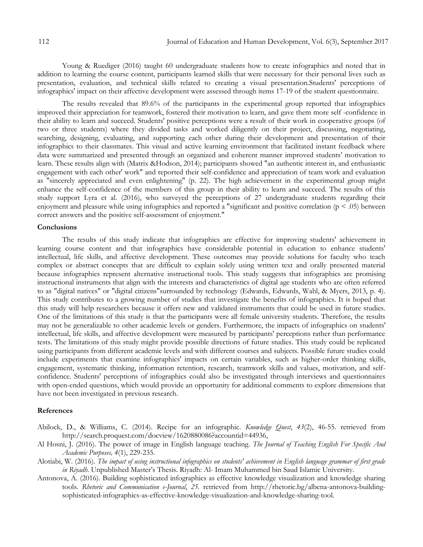Young & Ruediger (2016) taught 60 undergraduate students how to create infographics and noted that in addition to learning the course content, participants learned skills that were necessary for their personal lives such as presentation, evaluation, and technical skills related to creating a visual presentation.Students' perceptions of infographics' impact on their affective development were assessed through items 17-19 of the student questionnaire.

The results revealed that 89.6% of the participants in the experimental group reported that infographics improved their appreciation for teamwork, fostered their motivation to learn, and gave them more self -confidence in their ability to learn and succeed. Students' positive perceptions were a result of their work in cooperative groups (of two or three students) where they divided tasks and worked diligently on their project, discussing, negotiating, searching, designing, evaluating, and supporting each other during their development and presentation of their infographics to their classmates. This visual and active learning environment that facilitated instant feedback where data were summarized and presented through an organized and coherent manner improved students' motivation to learn. These results align with (Matrix &Hodson, 2014); participants showed "an authentic interest in, and enthusiastic engagement with each other' work" and reported their self-confidence and appreciation of team work and evaluation as "sincerely appreciated and even enlightening" (p. 22). The high achievement in the experimental group might enhance the self-confidence of the members of this group in their ability to learn and succeed. The results of this study support Lyra et al. (2016), who surveyed the perceptions of 27 undergraduate students regarding their enjoyment and pleasure while using infographics and reported a "significant and positive correlation  $(p < .05)$  between correct answers and the positive self-assessment of enjoyment."

#### **Conclusions**

The results of this study indicate that infographics are effective for improving students' achievement in learning course content and that infographics have considerable potential in education to enhance students' intellectual, life skills, and affective development. These outcomes may provide solutions for faculty who teach complex or abstract concepts that are difficult to explain solely using written text and orally presented material because infographics represent alternative instructional tools. This study suggests that infographics are promising instructional instruments that align with the interests and characteristics of digital age students who are often referred to as "digital natives" or "digital citizens"surrounded by technology (Edwards, Edwards, Wahl, & Myers, 2013, p. 4). This study contributes to a growing number of studies that investigate the benefits of infographics. It is hoped that this study will help researchers because it offers new and validated instruments that could be used in future studies. One of the limitations of this study is that the participants were all female university students. Therefore, the results may not be generalizable to other academic levels or genders. Furthermore, the impacts of infographics on students' intellectual, life skills, and affective development were measured by participants' perceptions rather than performance tests. The limitations of this study might provide possible directions of future studies. This study could be replicated using participants from different academic levels and with different courses and subjects. Possible future studies could include experiments that examine infographics' impacts on certain variables, such as higher-order thinking skills, engagement, systematic thinking, information retention, research, teamwork skills and values, motivation, and selfconfidence. Students' perceptions of infographics could also be investigated through interviews and questionnaires with open-ended questions, which would provide an opportunity for additional comments to explore dimensions that have not been investigated in previous research.

#### **References**

Abilock, D., & Williams, C. (2014). Recipe for an infographic. *Knowledge Quest*, *43*(2), 46-55. retrieved from http://search.proquest.com/docview/1620880086?accountid=44936,

- Al Hosni, J. (2016). The power of image in English language teaching. *The Journal of Teaching English For Specific And Academic Purposes, 4*(1), 229-235.
- Alotiabi, W. (2016). *The impact of using instructional infographics on students' achievement in English language grammar of first grade in Riyadh.* Unpublished Master's Thesis. Riyadh: Al- Imam Muhammed bin Saud Islamic University.
- Antonova, A. (2016). Building sophisticated infographics as effective knowledge visualization and knowledge sharing tools. *Rhetoric and Communication e-Journal*, *25.* retrieved from http://rhetoric.bg/albena-antonova-buildingsophisticated-infographics-as-effective-knowledge-visualization-and-knowledge-sharing-tool.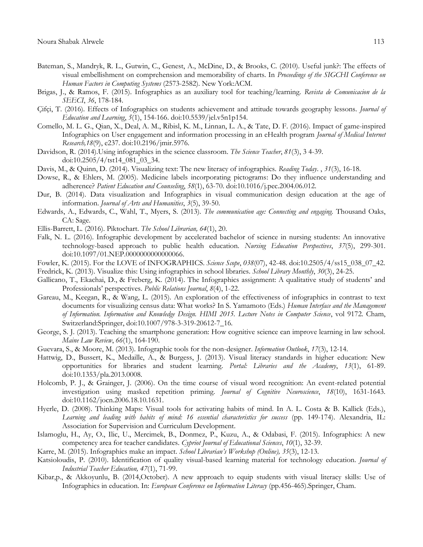- Bateman, S., Mandryk, R. L., Gutwin, C., Genest, A., McDine, D., & Brooks, C. (2010). Useful junk?: The effects of visual embellishment on comprehension and memorability of charts. In *Proceedings of the SIGCHI Conference on Human Factors in Computing Systems* (2573-2582). New York:ACM.
- Brigas, J., & Ramos, F. (2015). Infographics as an auxiliary tool for teaching/learning. *Revista de Comunicacion de la SEECI*, *36*, 178-184.
- Çifçi, T. (2016). Effects of Infographics on students achievement and attitude towards geography lessons. *Journal of Education and Learning*, *5*(1), 154-166. doi:10.5539/jel.v5n1p154.
- Comello, M. L. G., Qian, X., Deal, A. M., Ribisl, K. M., Linnan, L. A., & Tate, D. F. (2016). Impact of game-inspired Infographics on User engagement and information processing in an eHealth program *Journal of Medical Internet Research,18*(9), e237. doi:10.2196/jmir.5976.
- Davidson, R. (2014).Using infographics in the science classroom. *The Science Teacher*, *81*(3), 3 4-39. doi:10.2505/4/tst14\_081\_03\_34.
- Davis, M., & Quinn, D. (2014). Visualizing text: The new literacy of infographics. *Reading Today*. , *31*(3), 16-18.
- Dowse, R., & Ehlers, M. (2005). Medicine labels incorporating pictograms: Do they influence understanding and adherence? *Patient Education and Counseling*, *58*(1), 63-70. doi:10.1016/j.pec.2004.06.012.
- Dur, B. (2014). Data visualization and Infographics in visual communication design education at the age of information. *Journal of Arts and Humanities*, *3*(5), 39-50.
- Edwards, A., Edwards, C., Wahl, T., Myers, S. (2013). *The communication age: Connecting and engaging.* Thousand Oaks, CA: Sage.
- Ellis-Barrett, L. (2016). Piktochart. *The School Librarian, 64*(1), 20.
- Falk, N. L. (2016). Infographic development by accelerated bachelor of science in nursing students: An innovative technology-based approach to public health education. *Nursing Education Perspectives*, *37*(5), 299-301. doi:10.1097/01.NEP.0000000000000066.
- Fowler, K. (2015). For the LOVE of INFOGRAPHICS. *Science Scope*, *038*(07), 42-48. doi:10.2505/4/ss15\_038\_07\_42.
- Fredrick, K. (2013). Visualize this: Using infographics in school libraries. *School Library Monthly*, *30*(3), 24-25.
- Gallicano, T., Ekachai, D., & Freberg, K. (2014). The Infographics assignment: A qualitative study of students' and Professionals' perspectives. *Public Relations Journal*, *8*(4), 1-22.
- Gareau, M., Keegan, R., & Wang, L. (2015). An exploration of the effectiveness of infographics in contrast to text documents for visualizing census data: What works? In S. Yamamoto (Eds.) *Human Interface and the Management of Information. Information and Knowledge Design. HIMI 2015. Lecture Notes in Computer Science*, vol 9172. Cham, Switzerland:Springer, doi:10.1007/978-3-319-20612-7\_16.
- George, S. J. (2013). Teaching the smartphone generation: How cognitive science can improve learning in law school. *Maine Law Review*, *66*(1), 164-190.
- Guevara, S., & Moore, M. (2013). Infographic tools for the non-designer. *Information Outlook*, *17*(3), 12-14.
- Hattwig, D., Bussert, K., Medaille, A., & Burgess, J. (2013). Visual literacy standards in higher education: New opportunities for libraries and student learning. *Portal: Libraries and the Academy*, *13*(1), 61-89. doi:10.1353/pla.2013.0008.
- Holcomb, P. J., & Grainger, J. (2006). On the time course of visual word recognition: An event-related potential investigation using masked repetition priming. *Journal of Cognitive Neuroscience*, *18*(10), 1631-1643. doi:10.1162/jocn.2006.18.10.1631.
- Hyerle, D. (2008). Thinking Maps: Visual tools for activating habits of mind. In A. L. Costa & B. Kallick (Eds.), *Learning and leading with habits of mind: 16 essential characteristics for success* (pp. 149-174). Alexandria, IL: Association for Supervision and Curriculum Development.
- Islamoglu, H., Ay, O., Ilic, U., Mercimek, B., Donmez, P., Kuzu, A., & Odabasi, F. (2015). Infographics: A new competency area for teacher candidates. *Cypriot Journal of Educational Sciences*, *10*(1), 32-39.
- Karre, M. (2015). Infographics make an impact. *School Librarian's Workshop (Online), 35*(3), 12-13.
- Katsioloudis, P. (2010). Identification of quality visual-based learning material for technology education. *Journal of Industrial Teacher Education, 47*(1), 71-99.
- Kibar,p., & Akkoyunlu, B. (2014,October). A new approach to equip students with visual literacy skills: Use of Infographics in education. In: *European Conference on Information Literacy* (pp.456-465).Springer, Cham.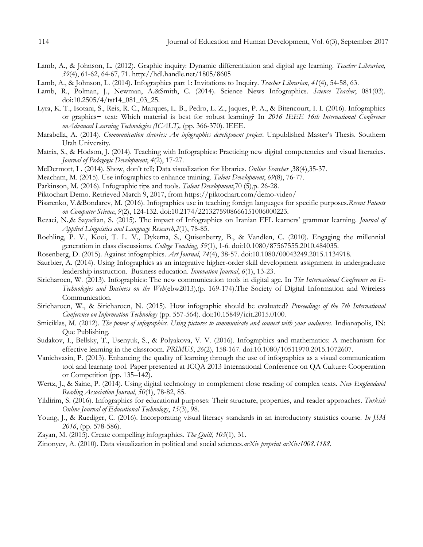- Lamb, A., & Johnson, L. (2012). Graphic inquiry: Dynamic differentiation and digital age learning. *Teacher Librarian, 39*(4), 61-62, 64-67, 71. http://hdl.handle.net/1805/8605
- Lamb, A., & Johnson, L. (2014). Infographics part 1: Invitations to Inquiry. *Teacher Librarian*, *41*(4), 54-58, 63.
- Lamb, R., Polman, J., Newman, A.&Smith, C. (2014). Science News Infographics. *Science Teacher*, 081(03). doi:10.2505/4/tst14\_081\_03\_25.
- Lyra, K. T., Isotani, S., Reis, R. C., Marques, L. B., Pedro, L. Z., Jaques, P. A., & Bitencourt, I. I. (2016). Infographics or graphics+ text: Which material is best for robust learning? In *2016 IEEE 16th International Conference onAdvanced Learning Technologies (ICALT),* (pp. 366-370). IEEE.
- Marabella, A. (2014). *Communication theories: An infographics development project*. Unpublished Master's Thesis. Southern Utah University.
- Matrix, S., & Hodson, J. (2014). Teaching with Infographics: Practicing new digital competencies and visual literacies. *Journal of Pedagogic Development*, *4*(2), 17-27.
- McDermott, I . (2014). Show, don't tell; Data visualization for libraries. *Online Searcher* ,38(4),35-37.
- Meacham, M. (2015). Use infographics to enhance training. *Talent Development*, *69*(8), 76-77.
- Parkinson, M. (2016). Infographic tips and tools. *Talent Development*,70 (5),p. 26-28.
- Piktochart Demo. Retrieved March 9, 2017, from https://piktochart.com/demo-video/
- Pisarenko, V.&Bondarev, M. (2016). Infographics use in teaching foreign languages for specific purposes.*Recent Patents on Computer Science*, *9*(2), 124-132. doi:10.2174/2213275908666151006000223.
- Rezaei, N.,& Sayadian, S. (2015). The impact of Infographics on Iranian EFL learners' grammar learning. *Journal of Applied Linguistics and Language Research,2*(1), 78-85.
- Roehling, P. V., Kooi, T. L. V., Dykema, S., Quisenberry, B., & Vandlen, C. (2010). Engaging the millennial generation in class discussions. *College Teaching*, *59*(1), 1-6. doi:10.1080/87567555.2010.484035.
- Rosenberg, D. (2015). Against infographics. *Art Journal*, *74*(4), 38-57. doi:10.1080/00043249.2015.1134918.
- Saurbier, A. (2014). Using Infographics as an integrative higher-order skill development assignment in undergraduate leadership instruction. Business education. *Innovation Journal*, *6*(1), 13-23.
- Siricharoen, W. (2013). Infographics: The new communication tools in digital age. In *The International Conference on E-Technologies and Business on the Web*(ebw2013),(p. 169-174).The Society of Digital Information and Wireless Communication.
- Siricharoen, W., & Siricharoen, N. (2015). How infographic should be evaluated? *Proceedings of the 7th International Conference on Information Technology* (pp. 557-564). doi:10.15849/icit.2015.0100.
- Smiciklas, M. (2012). *The power of infographics. Using pictures to communicate and connect with your audiences*. Indianapolis, IN: Que Publishing.
- Sudakov, I., Bellsky, T., Usenyuk, S., & Polyakova, V. V. (2016). Infographics and mathematics: A mechanism for effective learning in the classroom. *PRIMUS*, *26*(2), 158-167. doi:10.1080/10511970.2015.1072607.
- Vanichvasin, P. (2013). Enhancing the quality of learning through the use of infographics as a visual communication tool and learning tool. Paper presented at ICQA 2013 International Conference on QA Culture: Cooperation or Competition (pp. 135–142).
- Wertz, J., & Saine, P. (2014). Using digital technology to complement close reading of complex texts. *New Englandand Reading Association Journal*, *50*(1), 78-82, 85.
- Yildirim, S. (2016). Infographics for educational purposes: Their structure, properties, and reader approaches. *Turkish Online Journal of Educational Technology*, *15*(3), 98.
- Young, J., & Ruediger, C. (2016). Incorporating visual literacy standards in an introductory statistics course. *In JSM 2016*, (pp. 578-586).
- Zayan, M. (2015). Create compelling infographics. *The Quill*, *103*(1), 31.
- Zinonyev, A. (2010). Data visualization in political and social sciences.*arXiv preprint arXiv:1008.1188*.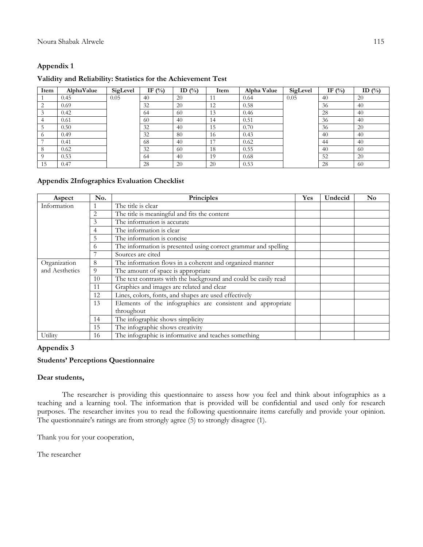## **Appendix 1**

### **Validity and Reliability: Statistics for the Achievement Test**

| Item | AlphaValue | SigLevel | IF $(\%)$ | ID $(\% )$ | Item | Alpha Value | SigLevel | IF $(\% )$ | ID $(\%$ |
|------|------------|----------|-----------|------------|------|-------------|----------|------------|----------|
|      | 0.45       | 0.05     | 40        | 20         |      | 0.64        | 0.05     | 40         | 20       |
|      | 0.69       |          | 32        | 20         | 12   | 0.58        |          | 36         | 40       |
|      | 0.42       |          | -64       | 60         | 13   | 0.46        |          | 28         | 40       |
|      | 0.61       |          | -60       | 40         | 14   | 0.51        |          | 36         | 40       |
|      | 0.50       |          | 32        | 40         | 15   | 0.70        |          | 36         | 20       |
|      | 0.49       |          | 32        | 80         | 16   | 0.43        |          | 40         | 40       |
|      | 0.41       |          | 68        | 40         | 17   | 0.62        |          | 44         | 40       |
|      | 0.62       |          | 32        | 60         | 18   | 0.55        |          | 40         | -60      |
|      | 0.53       |          | -64       | 40         | 19   | 0.68        |          | 52         | 20       |
| 15   | 0.47       |          | 28        | 20         | 20   | 0.53        |          | 28         | 60       |

## **Appendix 2Infographics Evaluation Checklist**

| Aspect         | No. | Principles                                                      | Yes | Undecid | N <sub>0</sub> |
|----------------|-----|-----------------------------------------------------------------|-----|---------|----------------|
| Information    |     | The title is clear                                              |     |         |                |
|                | 2   | The title is meaningful and fits the content                    |     |         |                |
|                | 3   | The information is accurate                                     |     |         |                |
|                | 4   | The information is clear                                        |     |         |                |
|                | 5   | The information is concise                                      |     |         |                |
|                | 6   | The information is presented using correct grammar and spelling |     |         |                |
|                |     | Sources are cited                                               |     |         |                |
| Organization   | 8   | The information flows in a coherent and organized manner        |     |         |                |
| and Aesthetics | 9   | The amount of space is appropriate                              |     |         |                |
|                | 10  | The text contrasts with the background and could be easily read |     |         |                |
|                | 11  | Graphics and images are related and clear                       |     |         |                |
|                | 12  | Lines, colors, fonts, and shapes are used effectively           |     |         |                |
|                | 13  | Elements of the infographics are consistent and appropriate     |     |         |                |
|                |     | throughout                                                      |     |         |                |
|                | 14  | The infographic shows simplicity                                |     |         |                |
|                | 15  | The infographic shows creativity                                |     |         |                |
| Utility        | 16  | The infographic is informative and teaches something            |     |         |                |

## **Appendix 3**

## **Students' Perceptions Questionnaire**

### **Dear students,**

The researcher is providing this questionnaire to assess how you feel and think about infographics as a teaching and a learning tool. The information that is provided will be confidential and used only for research purposes. The researcher invites you to read the following questionnaire items carefully and provide your opinion. The questionnaire's ratings are from strongly agree (5) to strongly disagree (1).

Thank you for your cooperation,

The researcher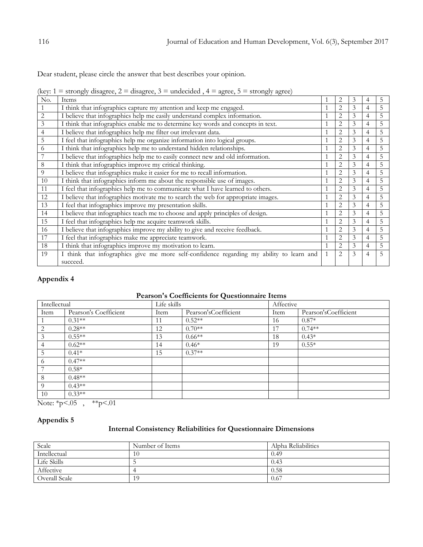Dear student, please circle the answer that best describes your opinion.

(key:  $1 =$  strongly disagree,  $2 =$  disagree,  $3 =$  undecided,  $4 =$  agree,  $5 =$  strongly agree)

| No. | Items                                                                                                |              | $\overline{2}$ | 3 | 4              | C. |
|-----|------------------------------------------------------------------------------------------------------|--------------|----------------|---|----------------|----|
|     | I think that infographics capture my attention and keep me engaged.                                  |              | 2              | 3 | 4              | 5  |
| 2   | I believe that infographics help me easily understand complex information.                           |              | 2              | 3 | $\overline{4}$ | 5  |
| 3   | I think that infographics enable me to determine key words and concepts in text.                     |              | 2              | 3 | $\overline{4}$ | 5  |
| 4   | I believe that infographics help me filter out irrelevant data.                                      |              | $\overline{2}$ | 3 | 4              | 5  |
| 5   | I feel that infographics help me organize information into logical groups.                           |              | 2              | 3 | $\overline{4}$ | 5  |
| 6   | I think that infographics help me to understand hidden relationships.                                |              | $\overline{2}$ | 3 | $\overline{4}$ | 5  |
|     | I believe that infographics help me to easily connect new and old information.                       |              | 2              | 3 | $\overline{4}$ | 5  |
| 8   | I think that infographics improve my critical thinking.                                              |              | 2              | 3 | $\overline{4}$ | 5  |
| 9   | I believe that infographics make it easier for me to recall information.                             |              | $\overline{2}$ | 3 | 4              | 5  |
| 10  | I think that infographics inform me about the responsible use of images.                             |              | 2              | 3 | $\overline{4}$ | 5  |
| 11  | I feel that infographics help me to communicate what I have learned to others.                       |              | $\overline{2}$ | 3 | $\overline{4}$ | 5  |
| 12  | I believe that infographics motivate me to search the web for appropriate images.                    |              | $\overline{2}$ | 3 | 4              | 5  |
| 13  | I feel that infographics improve my presentation skills.                                             |              | 2              | 3 | $\overline{4}$ | 5  |
| 14  | I believe that infographics teach me to choose and apply principles of design.                       |              | $\overline{2}$ | 3 | $\overline{4}$ | 5  |
| 15  | I feel that infographics help me acquire teamwork skills.                                            |              | $\overline{2}$ | 3 | $\overline{4}$ | 5  |
| 16  | I believe that infographics improve my ability to give and receive feedback.                         |              | $\overline{2}$ | 3 | $\overline{4}$ | 5  |
| 17  | I feel that infographics make me appreciate teamwork.                                                |              | $\overline{2}$ | 3 | $\overline{4}$ | 5  |
| 18  | I think that infographics improve my motivation to learn.                                            |              | $\overline{2}$ | 3 | 4              | 5  |
| 19  | I think that infographics give me more self-confidence regarding my ability to learn and<br>succeed. | $\mathbf{1}$ | 2              | 3 | $\overline{4}$ | 5  |

# **Appendix 4**

## **Pearson's Coefficients for Questionnaire Items**

| Intellectual    |                       | Life skills |                      |      | Affective            |  |  |  |
|-----------------|-----------------------|-------------|----------------------|------|----------------------|--|--|--|
| Item            | Pearson's Coefficient | Item        | Pearson'sCoefficient | Item | Pearson'sCoefficient |  |  |  |
|                 | $0.31**$              | 11          | $0.52**$             | 16   | $0.87*$              |  |  |  |
| 2               | $0.28**$              | 12          | $0.70**$             | 17   | $0.74**$             |  |  |  |
| 3               | $0.55**$              | 13          | $0.66**$             | 18   | $0.43*$              |  |  |  |
| $\overline{4}$  | $0.62**$              | 14          | $0.46*$              | 19   | $0.55*$              |  |  |  |
| $5\overline{)}$ | $0.41*$               | 15          | $0.37**$             |      |                      |  |  |  |
| -6              | $0.47**$              |             |                      |      |                      |  |  |  |
| 7               | $0.58*$               |             |                      |      |                      |  |  |  |
| 8               | $0.48**$              |             |                      |      |                      |  |  |  |
| -9              | $0.43**$              |             |                      |      |                      |  |  |  |
| 10              | $0.33**$              |             |                      |      |                      |  |  |  |

Note:  $\frac{1}{2}p < .05$ ,  $\frac{1}{2}p < .01$ 

## **Appendix 5**

### **Internal Consistency Reliabilities for Questionnaire Dimensions**

| Scale         | Number of Items | Alpha Reliabilities |
|---------------|-----------------|---------------------|
| Intellectual  | 10              | 0.49                |
| Life Skills   |                 | 0.43                |
| Affective     |                 | 0.58                |
| Overall Scale |                 | 0.67                |